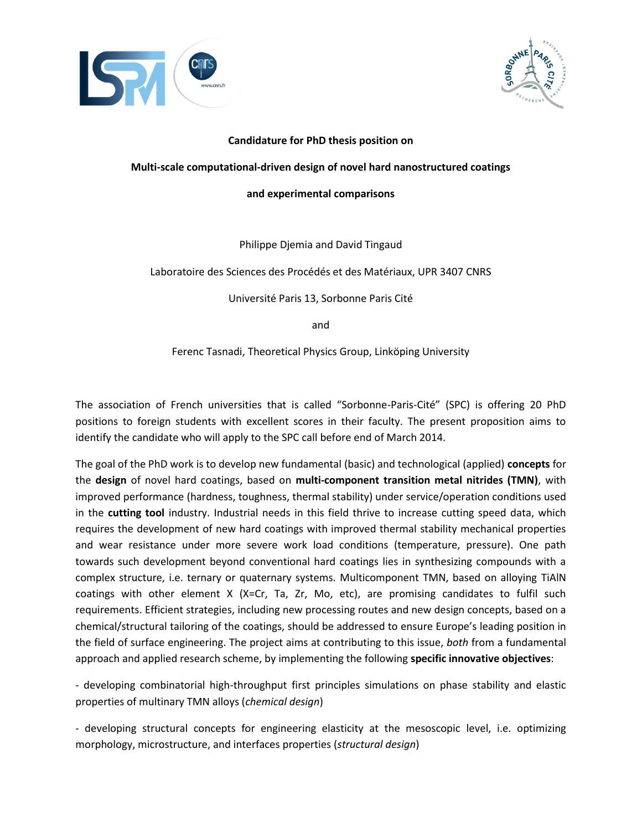



## **Candidature for PhD thesis position on**

**Multi-scale computational-driven design of novel hard nanostructured coatings**

**and experimental comparisons**

Philippe Djemia and David Tingaud

Laboratoire des Sciences des Procédés et des Matériaux, UPR 3407 CNRS

Université Paris 13, Sorbonne Paris Cité

and

Ferenc Tasnadi, Theoretical Physics Group, Linköping University

The association of French universities that is called "Sorbonne-Paris-Cité" (SPC) is offering 20 PhD positions to foreign students with excellent scores in their faculty. The present proposition aims to identify the candidate who will apply to the SPC call before end of March 2014.

The goal of the PhD work is to develop new fundamental (basic) and technological (applied) **concepts** for the **design** of novel hard coatings, based on **multi-component transition metal nitrides (TMN)**, with improved performance (hardness, toughness, thermal stability) under service/operation conditions used in the **cutting tool** industry. Industrial needs in this field thrive to increase cutting speed data, which requires the development of new hard coatings with improved thermal stability mechanical properties and wear resistance under more severe work load conditions (temperature, pressure). One path towards such development beyond conventional hard coatings lies in synthesizing compounds with a complex structure, i.e. ternary or quaternary systems. Multicomponent TMN, based on alloying TiAlN coatings with other element X (X=Cr, Ta, Zr, Mo, etc), are promising candidates to fulfil such requirements. Efficient strategies, including new processing routes and new design concepts, based on a chemical/structural tailoring of the coatings, should be addressed to ensure Europe's leading position in the field of surface engineering. The project aims at contributing to this issue, *both* from a fundamental approach and applied research scheme, by implementing the following **specific innovative objectives**:

- developing combinatorial high-throughput first principles simulations on phase stability and elastic properties of multinary TMN alloys (*chemical design*)

- developing structural concepts for engineering elasticity at the mesoscopic level, i.e. optimizing morphology, microstructure, and interfaces properties (*structural design*)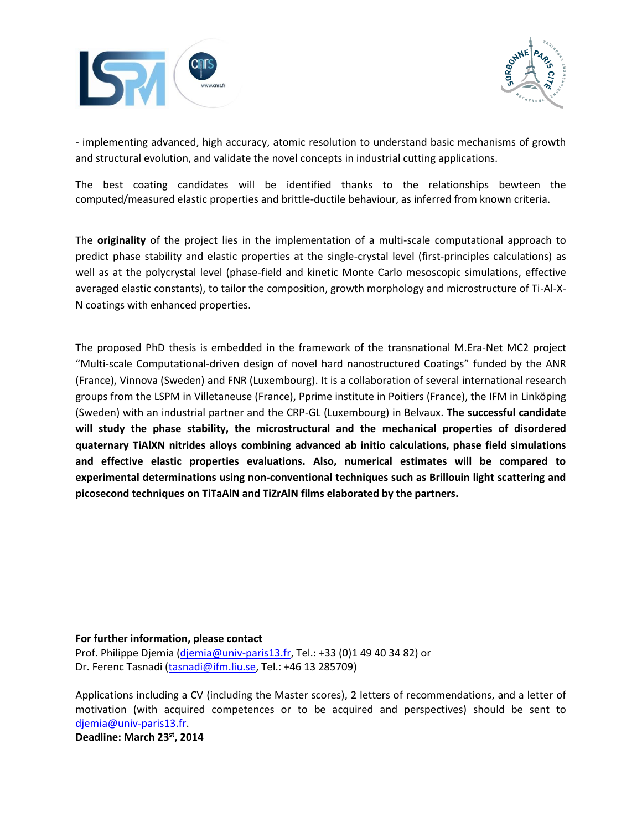



- implementing advanced, high accuracy, atomic resolution to understand basic mechanisms of growth and structural evolution, and validate the novel concepts in industrial cutting applications.

The best coating candidates will be identified thanks to the relationships bewteen the computed/measured elastic properties and brittle-ductile behaviour, as inferred from known criteria.

The **originality** of the project lies in the implementation of a multi-scale computational approach to predict phase stability and elastic properties at the single-crystal level (first-principles calculations) as well as at the polycrystal level (phase-field and kinetic Monte Carlo mesoscopic simulations, effective averaged elastic constants), to tailor the composition, growth morphology and microstructure of Ti-Al-X-N coatings with enhanced properties.

The proposed PhD thesis is embedded in the framework of the transnational M.Era-Net MC2 project "Multi-scale Computational-driven design of novel hard nanostructured Coatings" funded by the ANR (France), Vinnova (Sweden) and FNR (Luxembourg). It is a collaboration of several international research groups from the LSPM in Villetaneuse (France), Pprime institute in Poitiers (France), the IFM in Linköping (Sweden) with an industrial partner and the CRP-GL (Luxembourg) in Belvaux. **The successful candidate will study the phase stability, the microstructural and the mechanical properties of disordered quaternary TiAlXN nitrides alloys combining advanced ab initio calculations, phase field simulations and effective elastic properties evaluations. Also, numerical estimates will be compared to experimental determinations using non-conventional techniques such as Brillouin light scattering and picosecond techniques on TiTaAlN and TiZrAlN films elaborated by the partners.**

## **For further information, please contact**

Prof. Philippe Djemia [\(djemia@univ-paris13.fr,](mailto:djemia@univ-paris13.fr) Tel.: +33 (0)1 49 40 34 82) or Dr. Ferenc Tasnadi [\(tasnadi@ifm.liu.se,](mailto:tasnadi@ifm.liu.se) Tel.: +46 13 285709)

Applications including a CV (including the Master scores), 2 letters of recommendations, and a letter of motivation (with acquired competences or to be acquired and perspectives) should be sent to [djemia@univ-paris13.fr.](mailto:djemia@univ-paris13.fr)

**Deadline: March 23st, 2014**